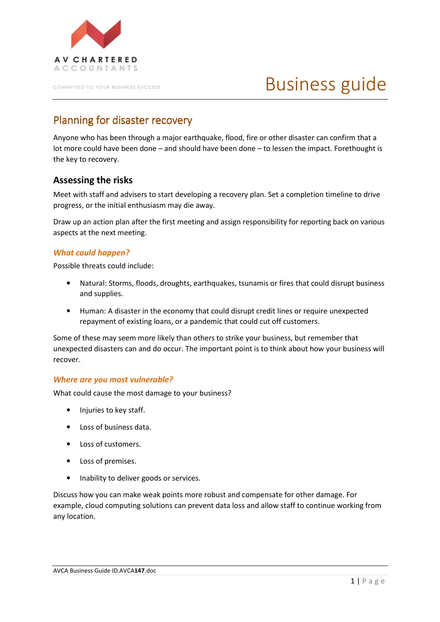

COMMITTED TO YOUR BUSINESS SUCCESS

# Business guide

## Planning for disaster recovery

Anyone who has been through a major earthquake, flood, fire or other disaster can confirm that a lot more could have been done – and should have been done – to lessen the impact. Forethought is the key to recovery.

## Assessing the risks

Meet with staff and advisers to start developing a recovery plan. Set a completion timeline to drive progress, or the initial enthusiasm may die away.

Draw up an action plan after the first meeting and assign responsibility for reporting back on various aspects at the next meeting.

#### What could happen?

Possible threats could include:

- Natural: Storms, floods, droughts, earthquakes, tsunamis or fires that could disrupt business and supplies.
- Human: A disaster in the economy that could disrupt credit lines or require unexpected repayment of existing loans, or a pandemic that could cut off customers.

Some of these may seem more likely than others to strike your business, but remember that unexpected disasters can and do occur. The important point is to think about how your business will recover.

#### Where are you most vulnerable?

What could cause the most damage to your business?

- Injuries to key staff.
- Loss of business data.
- Loss of customers.
- Loss of premises.
- Inability to deliver goods or services.

Discuss how you can make weak points more robust and compensate for other damage. For example, cloud computing solutions can prevent data loss and allow staff to continue working from any location.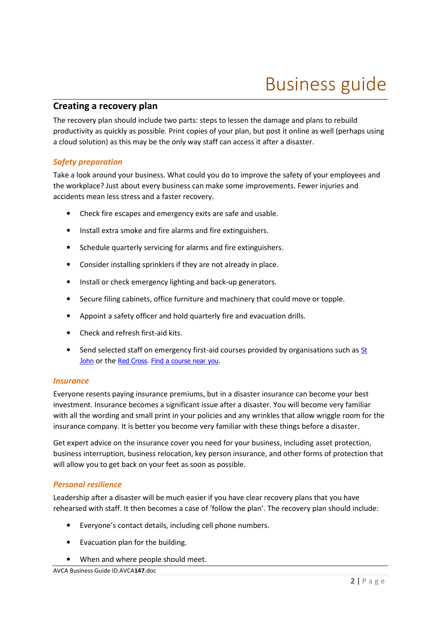# Business guide

### Creating a recovery plan

The recovery plan should include two parts: steps to lessen the damage and plans to rebuild productivity as quickly as possible. Print copies of your plan, but post it online as well (perhaps using a cloud solution) as this may be the only way staff can access it after a disaster.

#### Safety preparation

Take a look around your business. What could you do to improve the safety of your employees and the workplace? Just about every business can make some improvements. Fewer injuries and accidents mean less stress and a faster recovery.

- Check fire escapes and emergency exits are safe and usable.
- Install extra smoke and fire alarms and fire extinguishers.
- Schedule quarterly servicing for alarms and fire extinguishers.
- Consider installing sprinklers if they are not already in place.
- Install or check emergency lighting and back-up generators.
- Secure filing cabinets, office furniture and machinery that could move or topple.
- Appoint a safety officer and hold quarterly fire and evacuation drills.
- Check and refresh first-aid kits.
- Send selected staff on emergency first-aid courses provided by organisations such as  $St$ </u> John or the Red Cross. Find a course near you.

#### **Insurance**

Everyone resents paying insurance premiums, but in a disaster insurance can become your best investment. Insurance becomes a significant issue after a disaster. You will become very familiar with all the wording and small print in your policies and any wrinkles that allow wriggle room for the insurance company. It is better you become very familiar with these things before a disaster.

Get expert advice on the insurance cover you need for your business, including asset protection, business interruption, business relocation, key person insurance, and other forms of protection that will allow you to get back on your feet as soon as possible.

#### Personal resilience

Leadership after a disaster will be much easier if you have clear recovery plans that you have rehearsed with staff. It then becomes a case of 'follow the plan'. The recovery plan should include:

- Everyone's contact details, including cell phone numbers.
- Evacuation plan for the building.
- When and where people should meet.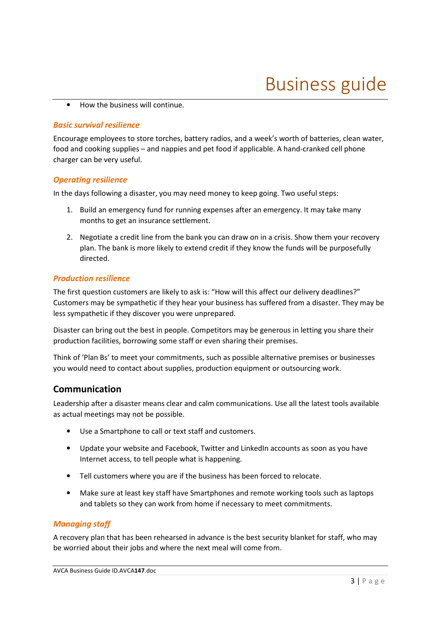• How the business will continue.

#### Basic survival resilience

Encourage employees to store torches, battery radios, and a week's worth of batteries, clean water, food and cooking supplies – and nappies and pet food if applicable. A hand-cranked cell phone charger can be very useful.

#### Operating resilience

In the days following a disaster, you may need money to keep going. Two useful steps:

- 1. Build an emergency fund for running expenses after an emergency. It may take many months to get an insurance settlement.
- 2. Negotiate a credit line from the bank you can draw on in a crisis. Show them your recovery plan. The bank is more likely to extend credit if they know the funds will be purposefully directed.

#### Production resilience

The first question customers are likely to ask is: "How will this affect our delivery deadlines?" Customers may be sympathetic if they hear your business has suffered from a disaster. They may be less sympathetic if they discover you were unprepared.

Disaster can bring out the best in people. Competitors may be generous in letting you share their production facilities, borrowing some staff or even sharing their premises.

Think of 'Plan Bs' to meet your commitments, such as possible alternative premises or businesses you would need to contact about supplies, production equipment or outsourcing work.

### Communication

Leadership after a disaster means clear and calm communications. Use all the latest tools available as actual meetings may not be possible.

- Use a Smartphone to call or text staff and customers.
- Update your website and Facebook, Twitter and LinkedIn accounts as soon as you have Internet access, to tell people what is happening.
- Tell customers where you are if the business has been forced to relocate.
- Make sure at least key staff have Smartphones and remote working tools such as laptops and tablets so they can work from home if necessary to meet commitments.

#### Managing staff

A recovery plan that has been rehearsed in advance is the best security blanket for staff, who may be worried about their jobs and where the next meal will come from.